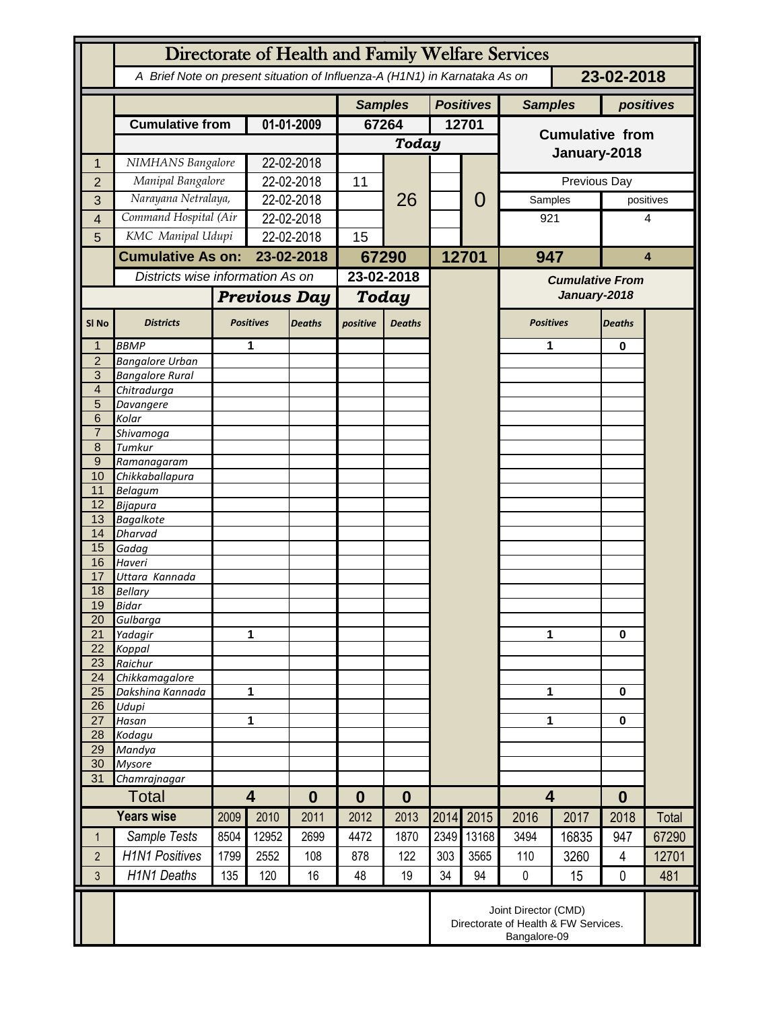|                     | Directorate of Health and Family Welfare Services                                        |                     |                         |               |                                    |               |       |              |                         |       |                |           |
|---------------------|------------------------------------------------------------------------------------------|---------------------|-------------------------|---------------|------------------------------------|---------------|-------|--------------|-------------------------|-------|----------------|-----------|
|                     | A Brief Note on present situation of Influenza-A (H1N1) in Karnataka As on<br>23-02-2018 |                     |                         |               |                                    |               |       |              |                         |       |                |           |
|                     |                                                                                          |                     |                         |               | <b>Positives</b><br><b>Samples</b> |               |       |              | <b>Samples</b>          |       |                | positives |
|                     | <b>Cumulative from</b>                                                                   |                     | 01-01-2009              |               | 67264                              |               |       | 12701        |                         |       |                |           |
|                     |                                                                                          |                     |                         |               | <b>Today</b>                       |               |       |              | <b>Cumulative from</b>  |       |                |           |
| 1                   | NIMHANS Bangalore                                                                        |                     | 22-02-2018              |               |                                    |               |       |              | January-2018            |       |                |           |
| $\overline{2}$      | Manipal Bangalore                                                                        |                     | 22-02-2018              |               | 11                                 | 26            |       |              | Previous Day            |       |                |           |
| 3                   | Narayana Netralaya,                                                                      |                     | 22-02-2018              |               |                                    |               |       | 0            | Samples                 |       | positives      |           |
| 4                   | Command Hospital (Air                                                                    |                     | 22-02-2018              |               |                                    |               |       |              | 921                     |       | 4              |           |
| 5                   | KMC Manipal Udupi                                                                        |                     | 22-02-2018              |               | 15                                 |               |       |              |                         |       |                |           |
|                     | <b>Cumulative As on:</b>                                                                 |                     |                         | 23-02-2018    |                                    |               |       |              |                         | 947   |                | 4         |
|                     |                                                                                          |                     |                         |               | 67290                              |               | 12701 |              |                         |       |                |           |
|                     | Districts wise information As on                                                         |                     |                         |               | 23-02-2018                         |               |       |              | <b>Cumulative From</b>  |       |                |           |
|                     |                                                                                          | <b>Previous Day</b> |                         | Today         |                                    |               |       | January-2018 |                         |       |                |           |
| SI <sub>No</sub>    | <b>Districts</b>                                                                         |                     | <b>Positives</b>        | <b>Deaths</b> | positive                           | <b>Deaths</b> |       |              | <b>Positives</b>        |       | <b>Deaths</b>  |           |
| 1                   | <b>BBMP</b>                                                                              |                     | 1                       |               |                                    |               |       |              | 1                       |       | 0              |           |
| $\overline{2}$      | <b>Bangalore Urban</b>                                                                   |                     |                         |               |                                    |               |       |              |                         |       |                |           |
| 3<br>$\overline{4}$ | <b>Bangalore Rural</b>                                                                   |                     |                         |               |                                    |               |       |              |                         |       |                |           |
| 5                   | Chitradurga<br>Davangere                                                                 |                     |                         |               |                                    |               |       |              |                         |       |                |           |
| 6                   | Kolar                                                                                    |                     |                         |               |                                    |               |       |              |                         |       |                |           |
| $\overline{7}$      | Shivamoga                                                                                |                     |                         |               |                                    |               |       |              |                         |       |                |           |
| 8                   | Tumkur                                                                                   |                     |                         |               |                                    |               |       |              |                         |       |                |           |
| $\overline{9}$      | Ramanagaram                                                                              |                     |                         |               |                                    |               |       |              |                         |       |                |           |
| 10<br>11            | Chikkaballapura<br><b>Belagum</b>                                                        |                     |                         |               |                                    |               |       |              |                         |       |                |           |
| 12                  | <b>Bijapura</b>                                                                          |                     |                         |               |                                    |               |       |              |                         |       |                |           |
| 13                  | <b>Bagalkote</b>                                                                         |                     |                         |               |                                    |               |       |              |                         |       |                |           |
| 14                  | <b>Dharvad</b>                                                                           |                     |                         |               |                                    |               |       |              |                         |       |                |           |
| 15                  | Gadag                                                                                    |                     |                         |               |                                    |               |       |              |                         |       |                |           |
| 16<br>17            | Haveri                                                                                   |                     |                         |               |                                    |               |       |              |                         |       |                |           |
| 18                  | Uttara Kannada<br><b>Bellary</b>                                                         |                     |                         |               |                                    |               |       |              |                         |       |                |           |
| 19                  | Bidar                                                                                    |                     |                         |               |                                    |               |       |              |                         |       |                |           |
| 20                  | Gulbarga                                                                                 |                     |                         |               |                                    |               |       |              |                         |       |                |           |
| $\overline{21}$     | Yadagir                                                                                  |                     | 1                       |               |                                    |               |       |              | 1                       |       | $\bf{0}$       |           |
| 22                  | Koppal                                                                                   |                     |                         |               |                                    |               |       |              |                         |       |                |           |
| 23<br>24            | Raichur<br>Chikkamagalore                                                                |                     |                         |               |                                    |               |       |              |                         |       |                |           |
| 25                  | Dakshina Kannada                                                                         | 1                   |                         |               |                                    |               |       |              | 1                       |       | 0              |           |
| 26                  | Udupi                                                                                    |                     |                         |               |                                    |               |       |              |                         |       |                |           |
| $\overline{27}$     | Hasan                                                                                    | 1                   |                         |               |                                    |               |       |              | 1                       |       | $\bf{0}$       |           |
| 28                  | Kodagu                                                                                   |                     |                         |               |                                    |               |       |              |                         |       |                |           |
| 29<br>30            | Mandya<br><b>Mysore</b>                                                                  |                     |                         |               |                                    |               |       |              |                         |       |                |           |
| 31                  | Chamrajnagar                                                                             |                     |                         |               |                                    |               |       |              |                         |       |                |           |
|                     | <b>Total</b>                                                                             |                     | $\overline{\mathbf{4}}$ |               | $\bf{0}$                           | $\bf{0}$      |       |              | $\overline{\mathbf{4}}$ |       | $\bf{0}$       |           |
|                     | <b>Years wise</b>                                                                        | 2009                | 2010                    | 2011          | 2012                               | 2013          | 2014  | 2015         | 2016                    | 2017  | 2018           | Total     |
| $\mathbf{1}$        | Sample Tests                                                                             | 8504                | 12952                   | 2699          | 4472                               | 1870          | 2349  | 13168        | 3494                    | 16835 | 947            | 67290     |
| $\overline{2}$      | <b>H1N1 Positives</b>                                                                    | 1799                | 2552                    | 108           | 878                                | 122           | 303   | 3565         | 110                     | 3260  | $\overline{4}$ | 12701     |
| $\overline{3}$      | <b>H1N1 Deaths</b>                                                                       | 135                 | 120                     | 16            | 48                                 | 19            | 34    | 94           | $\pmb{0}$               | 15    | $\mathbf 0$    | 481       |
|                     |                                                                                          |                     |                         |               |                                    |               |       |              |                         |       |                |           |
|                     | Joint Director (CMD)<br>Directorate of Health & FW Services.<br>Bangalore-09             |                     |                         |               |                                    |               |       |              |                         |       |                |           |